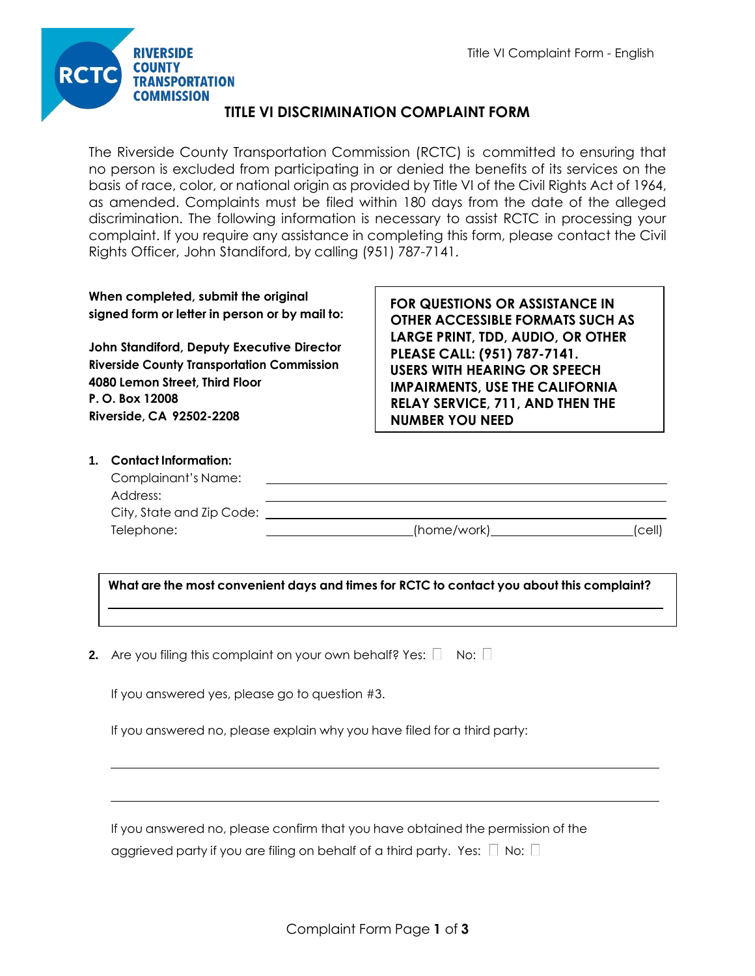

# **TITLE VI DISCRIMINATION COMPLAINT FORM**

The Riverside County Transportation Commission (RCTC) is committed to ensuring that no person is excluded from participating in or denied the benefits of its services on the basis of race, color, or national origin as provided by Title VI of the Civil Rights Act of 1964, as amended. Complaints must be filed within 180 days from the date of the alleged discrimination. The following information is necessary to assist RCTC in processing your complaint. If you require any assistance in completing this form, please contact the Civil Rights Officer, John Standiford, by calling (951) 787-7141.

| When completed, submit the original            |
|------------------------------------------------|
| signed form or letter in person or by mail to: |

**John Standiford, Deputy Executive Director Riverside County Transportation Commission 4080 Lemon Street, Third Floor P. O. Box 12008 Riverside, CA 92502-2208**

**FOR QUESTIONS OR ASSISTANCE IN OTHER ACCESSIBLE FORMATS SUCH AS LARGE PRINT, TDD, AUDIO, OR OTHER PLEASE CALL: (951) 787-7141. USERS WITH HEARING OR SPEECH IMPAIRMENTS, USE THE CALIFORNIA RELAY SERVICE, 711, AND THEN THE NUMBER YOU NEED**

#### **1. Contact Information:**

| Complainant's Name:       |               |        |
|---------------------------|---------------|--------|
| Address:                  |               |        |
| City, State and Zip Code: |               |        |
| Telephone:                | _(home/work)_ | 'cell' |

**What are the most convenient days and times for RCTC to contact you about this complaint?**

**2.** Are you filing this complaint on your own behalf? Yes:  $\Box$  No:  $\Box$ 

If you answered yes, please go to question #3.

If you answered no, please explain why you have filed for a third party:

If you answered no, please confirm that you have obtained the permission of the aggrieved party if you are filing on behalf of a third party. Yes:  $\Box$  No:  $\Box$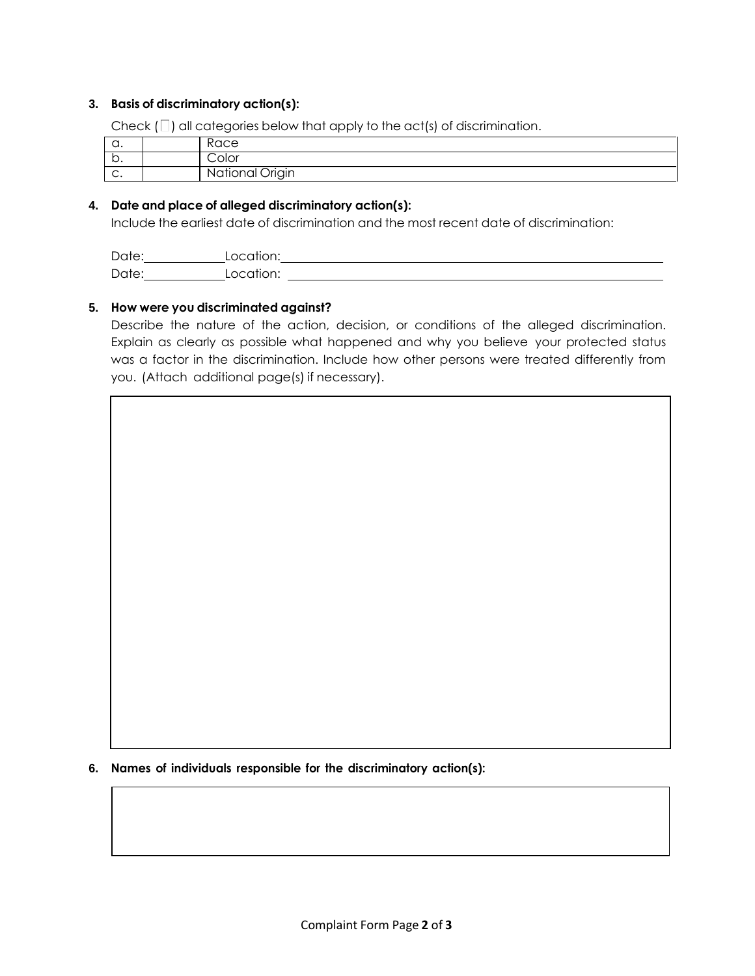### **3. Basis of discriminatory action(s):**

Check  $(\Box)$  all categories below that apply to the act(s) of discrimination.

| u.           | $\sim$<br>nucc                                        |
|--------------|-------------------------------------------------------|
| -<br>∼.      | Color                                                 |
| $\sim$<br>J. | ∽<br>nal Origin<br>$\sim$ $\sim$<br>D<br>N.<br>$\sim$ |

## **4. Date and place of alleged discriminatory action(s):**

Include the earliest date of discrimination and the most recent date of discrimination:

| Date |            |
|------|------------|
| Date | ,,,,<br>◡… |

### **5. How were you discriminated against?**

Describe the nature of the action, decision, or conditions of the alleged discrimination. Explain as clearly as possible what happened and why you believe your protected status was a factor in the discrimination. Include how other persons were treated differently from you. (Attach additional page(s) if necessary).

**6. Names of individuals responsible for the discriminatory action(s):**